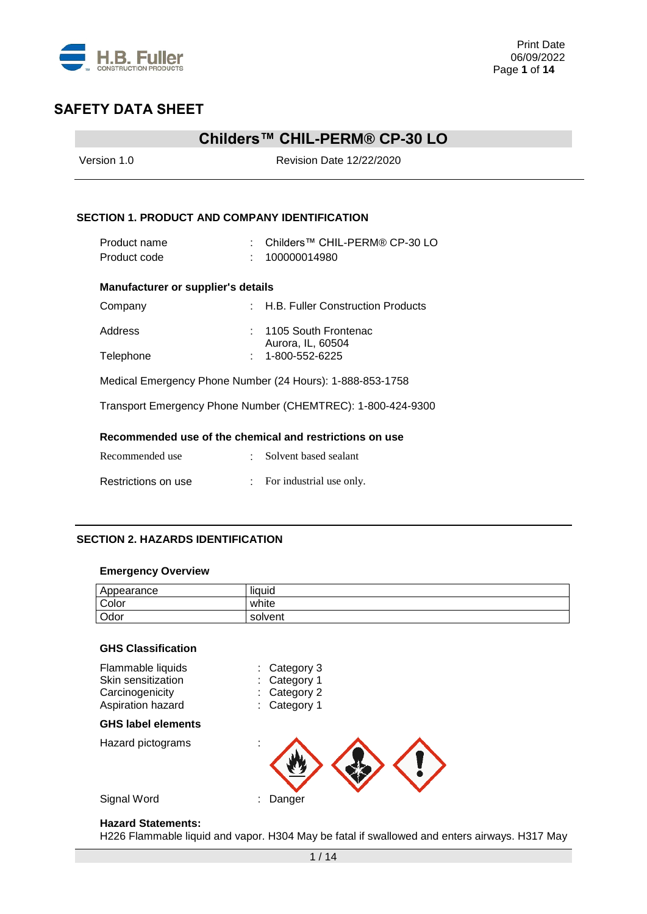

### **Childers™ CHIL-PERM® CP-30 LO**

| Version 1.0                                          | <b>Revision Date 12/22/2020</b>                             |  |  |  |  |
|------------------------------------------------------|-------------------------------------------------------------|--|--|--|--|
| <b>SECTION 1. PRODUCT AND COMPANY IDENTIFICATION</b> |                                                             |  |  |  |  |
| Product name<br>Product code                         | Childers™ CHIL-PERM® CP-30 LO<br>100000014980               |  |  |  |  |
| <b>Manufacturer or supplier's details</b>            |                                                             |  |  |  |  |
| Company                                              | : H.B. Fuller Construction Products                         |  |  |  |  |
| Address<br>Telephone                                 | 1105 South Frontenac<br>Aurora, IL, 60504<br>1-800-552-6225 |  |  |  |  |
|                                                      | Medical Emergency Phone Number (24 Hours): 1-888-853-1758   |  |  |  |  |
|                                                      | Transport Emergency Phone Number (CHEMTREC): 1-800-424-9300 |  |  |  |  |
|                                                      | Recommended use of the chemical and restrictions on use     |  |  |  |  |
| Recommended use                                      | : Solvent based sealant                                     |  |  |  |  |
| Restrictions on use                                  | For industrial use only.                                    |  |  |  |  |

### **SECTION 2. HAZARDS IDENTIFICATION**

#### **Emergency Overview**

| Appearance | . .<br>liquid |
|------------|---------------|
| Color      | white         |
| Odor       | solvent       |

| <b>GHS Classification</b>                                  |                                        |
|------------------------------------------------------------|----------------------------------------|
| Flammable liquids<br>Skin sensitization<br>Carcinogenicity | Category 3<br>Category 1<br>Category 2 |
| Aspiration hazard                                          | Category 1                             |
| <b>GHS label elements</b>                                  |                                        |
| Hazard pictograms                                          | ä,                                     |
| Signal Word                                                | Danger                                 |

#### **Hazard Statements:**

H226 Flammable liquid and vapor. H304 May be fatal if swallowed and enters airways. H317 May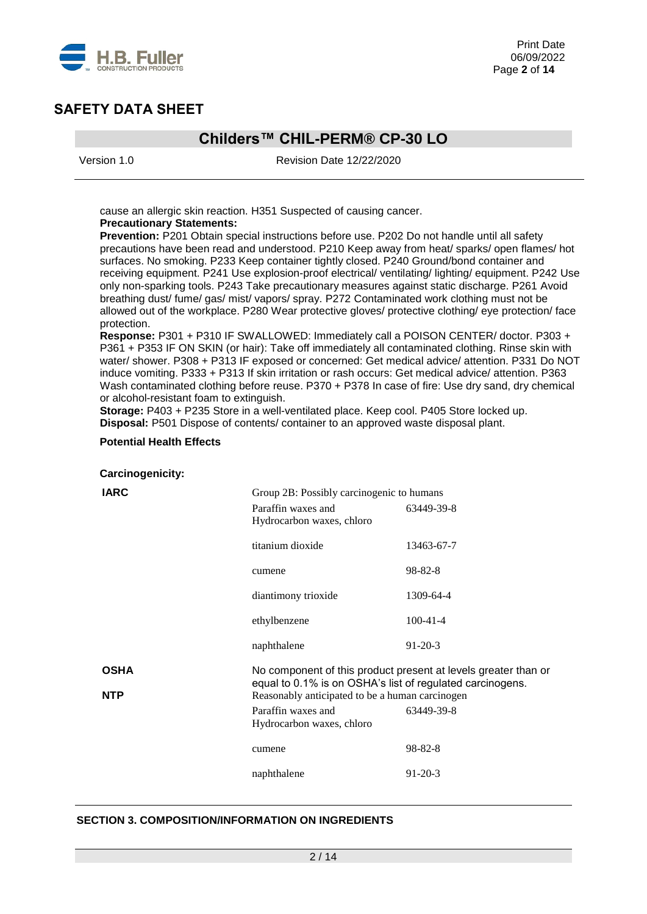

## **Childers™ CHIL-PERM® CP-30 LO**

Version 1.0 Revision Date 12/22/2020

cause an allergic skin reaction. H351 Suspected of causing cancer. **Precautionary Statements:** 

**Prevention:** P201 Obtain special instructions before use. P202 Do not handle until all safety precautions have been read and understood. P210 Keep away from heat/ sparks/ open flames/ hot surfaces. No smoking. P233 Keep container tightly closed. P240 Ground/bond container and receiving equipment. P241 Use explosion-proof electrical/ ventilating/ lighting/ equipment. P242 Use only non-sparking tools. P243 Take precautionary measures against static discharge. P261 Avoid breathing dust/ fume/ gas/ mist/ vapors/ spray. P272 Contaminated work clothing must not be allowed out of the workplace. P280 Wear protective gloves/ protective clothing/ eye protection/ face protection.

**Response:** P301 + P310 IF SWALLOWED: Immediately call a POISON CENTER/ doctor. P303 + P361 + P353 IF ON SKIN (or hair): Take off immediately all contaminated clothing. Rinse skin with water/ shower. P308 + P313 IF exposed or concerned: Get medical advice/ attention. P331 Do NOT induce vomiting. P333 + P313 If skin irritation or rash occurs: Get medical advice/ attention. P363 Wash contaminated clothing before reuse. P370 + P378 In case of fire: Use dry sand, dry chemical or alcohol-resistant foam to extinguish.

**Storage:** P403 + P235 Store in a well-ventilated place. Keep cool. P405 Store locked up. **Disposal:** P501 Dispose of contents/ container to an approved waste disposal plant.

#### **Potential Health Effects**

**Carcinogenicity:**

| <b>IARC</b> | Group 2B: Possibly carcinogenic to humans                 |                                                                |  |  |  |
|-------------|-----------------------------------------------------------|----------------------------------------------------------------|--|--|--|
|             | Paraffin waxes and                                        | 63449-39-8                                                     |  |  |  |
|             | Hydrocarbon waxes, chloro                                 |                                                                |  |  |  |
|             | titanium dioxide                                          | 13463-67-7                                                     |  |  |  |
|             | cumene                                                    | $98 - 82 - 8$                                                  |  |  |  |
|             | diantimony trioxide                                       | 1309-64-4                                                      |  |  |  |
|             | ethylbenzene                                              | $100-41-4$                                                     |  |  |  |
|             | naphthalene                                               | $91-20-3$                                                      |  |  |  |
| <b>OSHA</b> | equal to 0.1% is on OSHA's list of regulated carcinogens. | No component of this product present at levels greater than or |  |  |  |
| <b>NTP</b>  | Reasonably anticipated to be a human carcinogen           |                                                                |  |  |  |
|             | Paraffin waxes and                                        | 63449-39-8                                                     |  |  |  |
|             | Hydrocarbon waxes, chloro                                 |                                                                |  |  |  |
|             | cumene                                                    | $98 - 82 - 8$                                                  |  |  |  |
|             | naphthalene                                               | $91-20-3$                                                      |  |  |  |

### **SECTION 3. COMPOSITION/INFORMATION ON INGREDIENTS**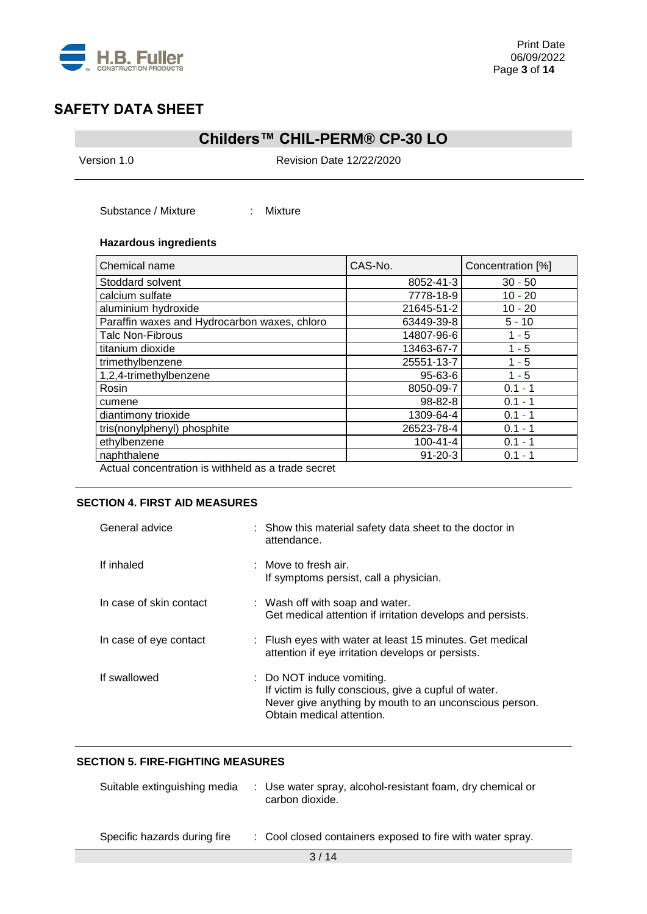

## **Childers™ CHIL-PERM® CP-30 LO**

Version 1.0 Revision Date 12/22/2020

Substance / Mixture : Mixture

### **Hazardous ingredients**

| Chemical name                                      | CAS-No.       | Concentration [%] |
|----------------------------------------------------|---------------|-------------------|
| Stoddard solvent                                   | 8052-41-3     | $30 - 50$         |
| calcium sulfate                                    | 7778-18-9     | $10 - 20$         |
| aluminium hydroxide                                | 21645-51-2    | $10 - 20$         |
| Paraffin waxes and Hydrocarbon waxes, chloro       | 63449-39-8    | $5 - 10$          |
| <b>Talc Non-Fibrous</b>                            | 14807-96-6    | $1 - 5$           |
| titanium dioxide                                   | 13463-67-7    | $1 - 5$           |
| trimethylbenzene                                   | 25551-13-7    | $1 - 5$           |
| 1,2,4-trimethylbenzene                             | 95-63-6       | $1 - 5$           |
| Rosin                                              | 8050-09-7     | $0.1 - 1$         |
| cumene                                             | 98-82-8       | $0.1 - 1$         |
| diantimony trioxide                                | 1309-64-4     | $0.1 - 1$         |
| tris(nonylphenyl) phosphite                        | 26523-78-4    | $0.1 - 1$         |
| ethylbenzene                                       | 100-41-4      | $0.1 - 1$         |
| naphthalene                                        | $91 - 20 - 3$ | $0.1 - 1$         |
| Actual concentration is withheld as a trade secret |               |                   |

Actual concentration is withheld as a trade secret

### **SECTION 4. FIRST AID MEASURES**

| General advice          | : Show this material safety data sheet to the doctor in<br>attendance.                                                                                                    |
|-------------------------|---------------------------------------------------------------------------------------------------------------------------------------------------------------------------|
| If inhaled              | $\therefore$ Move to fresh air.<br>If symptoms persist, call a physician.                                                                                                 |
| In case of skin contact | : Wash off with soap and water.<br>Get medical attention if irritation develops and persists.                                                                             |
| In case of eye contact  | : Flush eyes with water at least 15 minutes. Get medical<br>attention if eye irritation develops or persists.                                                             |
| If swallowed            | : Do NOT induce vomiting.<br>If victim is fully conscious, give a cupful of water.<br>Never give anything by mouth to an unconscious person.<br>Obtain medical attention. |

### **SECTION 5. FIRE-FIGHTING MEASURES**

| Suitable extinguishing media | : Use water spray, alcohol-resistant foam, dry chemical or<br>carbon dioxide. |
|------------------------------|-------------------------------------------------------------------------------|
| Specific hazards during fire | : Cool closed containers exposed to fire with water spray.                    |
|                              |                                                                               |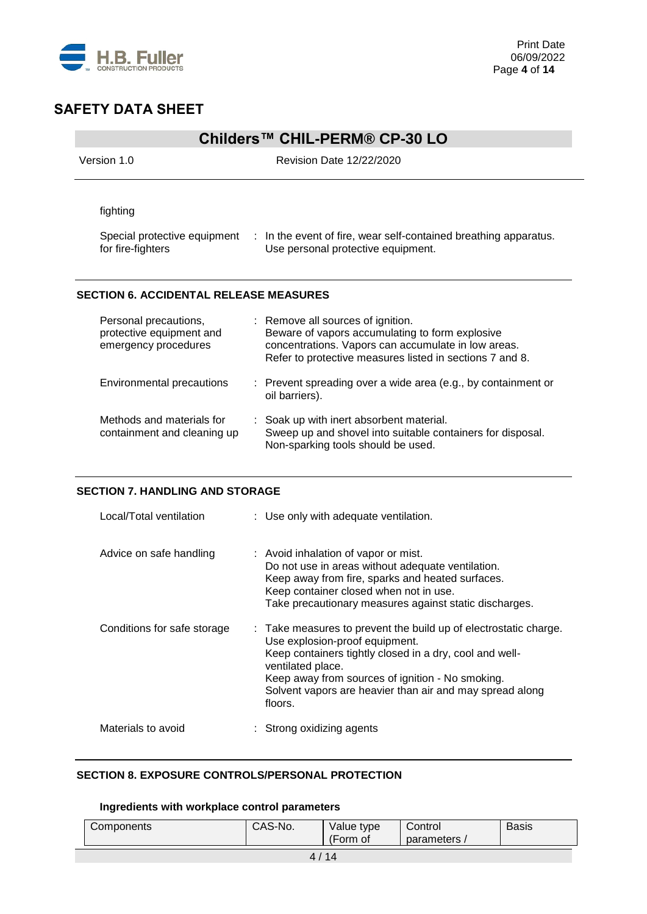

## **Childers™ CHIL-PERM® CP-30 LO**

| Version 1.0                                                               | <b>Revision Date 12/22/2020</b>                                                                                                                                                                         |  |  |  |  |
|---------------------------------------------------------------------------|---------------------------------------------------------------------------------------------------------------------------------------------------------------------------------------------------------|--|--|--|--|
| fighting<br>Special protective equipment<br>for fire-fighters             | $\therefore$ In the event of fire, wear self-contained breathing apparatus.<br>Use personal protective equipment.                                                                                       |  |  |  |  |
| <b>SECTION 6. ACCIDENTAL RELEASE MEASURES</b>                             |                                                                                                                                                                                                         |  |  |  |  |
| Personal precautions,<br>protective equipment and<br>emergency procedures | : Remove all sources of ignition.<br>Beware of vapors accumulating to form explosive<br>concentrations. Vapors can accumulate in low areas.<br>Refer to protective measures listed in sections 7 and 8. |  |  |  |  |
| Environmental precautions                                                 | : Prevent spreading over a wide area (e.g., by containment or                                                                                                                                           |  |  |  |  |

oil barriers).

### **SECTION 7. HANDLING AND STORAGE**

| Local/Total ventilation     | : Use only with adequate ventilation.                                                                                                                                                                                                                                                                         |
|-----------------------------|---------------------------------------------------------------------------------------------------------------------------------------------------------------------------------------------------------------------------------------------------------------------------------------------------------------|
| Advice on safe handling     | : Avoid inhalation of vapor or mist.<br>Do not use in areas without adequate ventilation.<br>Keep away from fire, sparks and heated surfaces.<br>Keep container closed when not in use.<br>Take precautionary measures against static discharges.                                                             |
| Conditions for safe storage | : Take measures to prevent the build up of electrostatic charge.<br>Use explosion-proof equipment.<br>Keep containers tightly closed in a dry, cool and well-<br>ventilated place.<br>Keep away from sources of ignition - No smoking.<br>Solvent vapors are heavier than air and may spread along<br>floors. |
| Materials to avoid          | : Strong oxidizing agents                                                                                                                                                                                                                                                                                     |

### **SECTION 8. EXPOSURE CONTROLS/PERSONAL PROTECTION**

### **Ingredients with workplace control parameters**

| Components | CAS-No. | Value type<br>(Form of | Control<br>parameters, | <b>Basis</b> |  |
|------------|---------|------------------------|------------------------|--------------|--|
| 11         |         |                        |                        |              |  |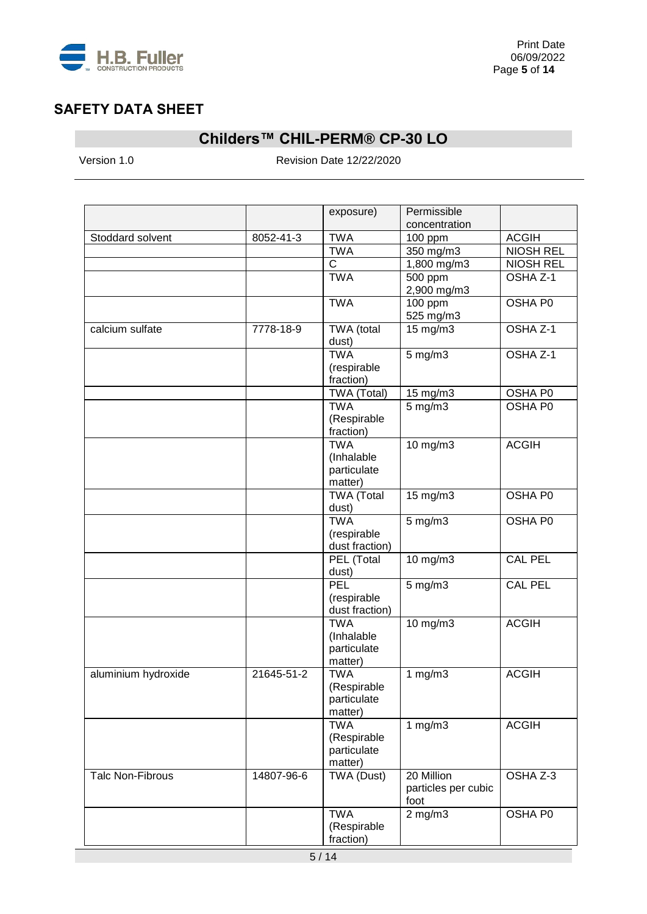

# **Childers™ CHIL-PERM® CP-30 LO**

Version 1.0 Revision Date 12/22/2020

|                         |            | exposure)                 | Permissible                   |                  |
|-------------------------|------------|---------------------------|-------------------------------|------------------|
|                         |            |                           | concentration                 |                  |
| Stoddard solvent        | 8052-41-3  | <b>TWA</b>                | 100 ppm                       | <b>ACGIH</b>     |
|                         |            | <b>TWA</b>                | 350 mg/m3                     | <b>NIOSH REL</b> |
|                         |            | $\mathsf C$               | 1,800 mg/m3                   | <b>NIOSH REL</b> |
|                         |            | <b>TWA</b>                | 500 ppm<br>2,900 mg/m3        | OSHA Z-1         |
|                         |            | <b>TWA</b>                | 100 ppm                       | OSHA P0          |
|                         |            |                           | 525 mg/m3                     |                  |
| calcium sulfate         | 7778-18-9  | TWA (total                | $15 \text{ mg/m}$             | OSHA Z-1         |
|                         |            | dust)                     |                               |                  |
|                         |            | <b>TWA</b>                | $5$ mg/m $3$                  | OSHA Z-1         |
|                         |            | (respirable               |                               |                  |
|                         |            | fraction)                 |                               |                  |
|                         |            | TWA (Total)               | 15 mg/m3                      | OSHA P0          |
|                         |            | <b>TWA</b>                | $5$ mg/m $3$                  | OSHA P0          |
|                         |            | (Respirable               |                               |                  |
|                         |            | fraction)<br><b>TWA</b>   |                               |                  |
|                         |            |                           | 10 mg/m3                      | <b>ACGIH</b>     |
|                         |            | (Inhalable<br>particulate |                               |                  |
|                         |            | matter)                   |                               |                  |
|                         |            | <b>TWA (Total</b>         | 15 mg/m3                      | OSHA P0          |
|                         |            | dust)                     |                               |                  |
|                         |            | <b>TWA</b>                | $5 \overline{\mathrm{mg}}$ m3 | OSHA P0          |
|                         |            | (respirable               |                               |                  |
|                         |            | dust fraction)            |                               |                  |
|                         |            | PEL (Total                | 10 mg/m3                      | <b>CAL PEL</b>   |
|                         |            | dust)                     |                               |                  |
|                         |            | PEL                       | $5$ mg/m $3$                  | <b>CAL PEL</b>   |
|                         |            | (respirable               |                               |                  |
|                         |            | dust fraction)            |                               |                  |
|                         |            | <b>TWA</b>                | 10 mg/m3                      | <b>ACGIH</b>     |
|                         |            | (Inhalable                |                               |                  |
|                         |            | particulate               |                               |                  |
|                         |            | matter)                   |                               |                  |
| aluminium hydroxide     | 21645-51-2 | <b>TWA</b>                | 1 $mg/m3$                     | <b>ACGIH</b>     |
|                         |            | (Respirable               |                               |                  |
|                         |            | particulate               |                               |                  |
|                         |            | matter)                   |                               |                  |
|                         |            | <b>TWA</b>                | 1 $mg/m3$                     | <b>ACGIH</b>     |
|                         |            | (Respirable               |                               |                  |
|                         |            | particulate               |                               |                  |
|                         |            | matter)                   |                               |                  |
| <b>Talc Non-Fibrous</b> | 14807-96-6 | TWA (Dust)                | 20 Million                    | OSHA Z-3         |
|                         |            |                           | particles per cubic           |                  |
|                         |            |                           | foot                          |                  |
|                         |            | <b>TWA</b>                | $2$ mg/m $3$                  | OSHA P0          |
|                         |            | (Respirable<br>fraction)  |                               |                  |
|                         |            |                           |                               |                  |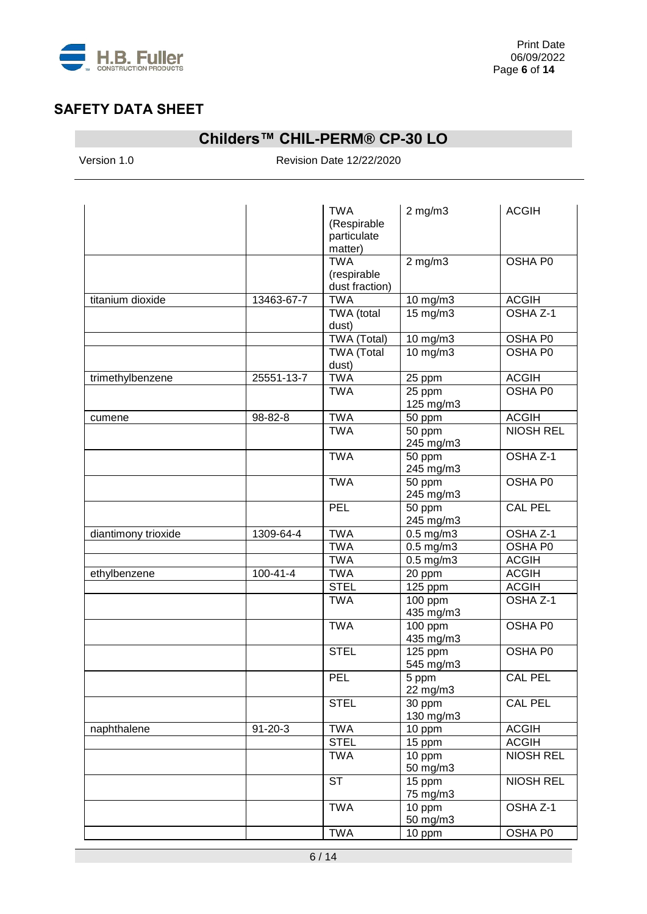

# **Childers™ CHIL-PERM® CP-30 LO**

Version 1.0 Revision Date 12/22/2020

|                     |                | <b>TWA</b><br>(Respirable<br>particulate<br>matter) | $2$ mg/m $3$          | <b>ACGIH</b>     |
|---------------------|----------------|-----------------------------------------------------|-----------------------|------------------|
|                     |                | <b>TWA</b><br>(respirable<br>dust fraction)         | $2$ mg/m $3$          | OSHA P0          |
| titanium dioxide    | 13463-67-7     | <b>TWA</b>                                          | 10 mg/m3              | <b>ACGIH</b>     |
|                     |                | TWA (total<br>dust)                                 | 15 mg/m3              | OSHA Z-1         |
|                     |                | TWA (Total)                                         | 10 mg/m3              | OSHA P0          |
|                     |                | <b>TWA (Total</b><br>dust)                          | 10 mg/m3              | OSHA P0          |
| trimethylbenzene    | 25551-13-7     | <b>TWA</b>                                          | 25 ppm                | <b>ACGIH</b>     |
|                     |                | <b>TWA</b>                                          | 25 ppm<br>125 mg/m3   | OSHA P0          |
| cumene              | 98-82-8        | <b>TWA</b>                                          | 50 ppm                | <b>ACGIH</b>     |
|                     |                | <b>TWA</b>                                          | 50 ppm<br>245 mg/m3   | <b>NIOSH REL</b> |
|                     |                | <b>TWA</b>                                          | 50 ppm<br>245 mg/m3   | OSHA Z-1         |
|                     |                | <b>TWA</b>                                          | 50 ppm<br>245 mg/m3   | OSHA P0          |
|                     |                | PEL                                                 | 50 ppm<br>245 mg/m3   | <b>CAL PEL</b>   |
| diantimony trioxide | 1309-64-4      | <b>TWA</b>                                          | $0.5$ mg/m $3$        | OSHA Z-1         |
|                     |                | <b>TWA</b>                                          | $0.5$ mg/m $3$        | <b>OSHA P0</b>   |
|                     |                | <b>TWA</b>                                          | $0.5$ mg/m $3$        | <b>ACGIH</b>     |
| ethylbenzene        | $100 - 41 - 4$ | <b>TWA</b>                                          | 20 ppm                | <b>ACGIH</b>     |
|                     |                | <b>STEL</b>                                         | $\overline{1}$ 25 ppm | <b>ACGIH</b>     |
|                     |                | <b>TWA</b>                                          | 100 ppm<br>435 mg/m3  | OSHA Z-1         |
|                     |                | <b>TWA</b>                                          | 100 ppm<br>435 mg/m3  | OSHA P0          |
|                     |                | <b>STEL</b>                                         | 125 ppm<br>545 mg/m3  | OSHA P0          |
|                     |                | PEL                                                 | 5 ppm<br>22 mg/m3     | <b>CAL PEL</b>   |
|                     |                | <b>STEL</b>                                         | 30 ppm<br>130 mg/m3   | <b>CAL PEL</b>   |
| naphthalene         | $91 - 20 - 3$  | <b>TWA</b>                                          | 10 ppm                | <b>ACGIH</b>     |
|                     |                | <b>STEL</b>                                         | 15 ppm                | <b>ACGIH</b>     |
|                     |                | <b>TWA</b>                                          | 10 ppm<br>50 mg/m3    | <b>NIOSH REL</b> |
|                     |                | <b>ST</b>                                           | 15 ppm<br>75 mg/m3    | NIOSH REL        |
|                     |                | <b>TWA</b>                                          | 10 ppm<br>50 mg/m3    | OSHA Z-1         |
|                     |                | <b>TWA</b>                                          | 10 ppm                | OSHA P0          |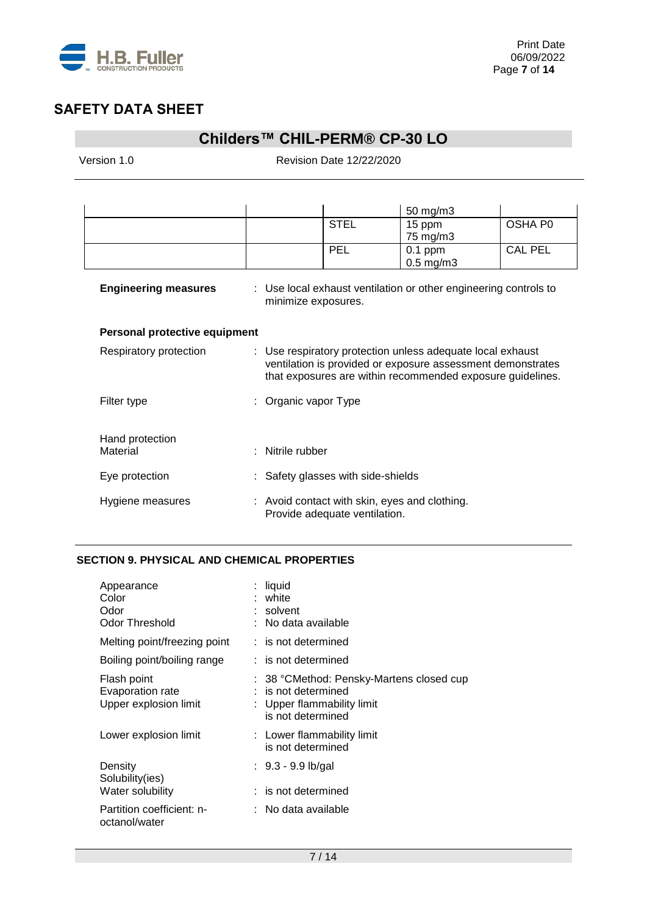

## **Childers™ CHIL-PERM® CP-30 LO**

Version 1.0 Revision Date 12/22/2020

|                               |                      |                                                                                | 50 mg/m3                                                                                                                                                                                |                |
|-------------------------------|----------------------|--------------------------------------------------------------------------------|-----------------------------------------------------------------------------------------------------------------------------------------------------------------------------------------|----------------|
|                               |                      | <b>STEL</b>                                                                    | 15 ppm                                                                                                                                                                                  | OSHA P0        |
|                               |                      |                                                                                | 75 mg/m3                                                                                                                                                                                |                |
|                               |                      | PEL                                                                            | $0.1$ ppm                                                                                                                                                                               | <b>CAL PEL</b> |
|                               |                      |                                                                                | $0.5$ mg/m $3$                                                                                                                                                                          |                |
| <b>Engineering measures</b>   |                      | minimize exposures.                                                            | : Use local exhaust ventilation or other engineering controls to                                                                                                                        |                |
| Personal protective equipment |                      |                                                                                |                                                                                                                                                                                         |                |
| Respiratory protection        |                      |                                                                                | : Use respiratory protection unless adequate local exhaust<br>ventilation is provided or exposure assessment demonstrates<br>that exposures are within recommended exposure guidelines. |                |
| Filter type                   | : Organic vapor Type |                                                                                |                                                                                                                                                                                         |                |
| Hand protection               |                      |                                                                                |                                                                                                                                                                                         |                |
| Material                      | Nitrile rubber       |                                                                                |                                                                                                                                                                                         |                |
| Eye protection                |                      | : Safety glasses with side-shields                                             |                                                                                                                                                                                         |                |
| Hygiene measures              |                      | : Avoid contact with skin, eyes and clothing.<br>Provide adequate ventilation. |                                                                                                                                                                                         |                |

### **SECTION 9. PHYSICAL AND CHEMICAL PROPERTIES**

| Appearance<br>Color<br>Odor<br><b>Odor Threshold</b>     | : liquid<br>: white<br>: solvent<br>: No data available                                                              |
|----------------------------------------------------------|----------------------------------------------------------------------------------------------------------------------|
| Melting point/freezing point                             | : is not determined                                                                                                  |
| Boiling point/boiling range                              | $:$ is not determined                                                                                                |
| Flash point<br>Evaporation rate<br>Upper explosion limit | : 38 °CMethod: Pensky-Martens closed cup<br>$:$ is not determined<br>: Upper flammability limit<br>is not determined |
| Lower explosion limit                                    | : Lower flammability limit<br>is not determined                                                                      |
| Density<br>Solubility(ies)                               | : 9.3 - 9.9 lb/gal                                                                                                   |
| Water solubility                                         | $:$ is not determined                                                                                                |
| Partition coefficient: n-<br>octanol/water               | : No data available                                                                                                  |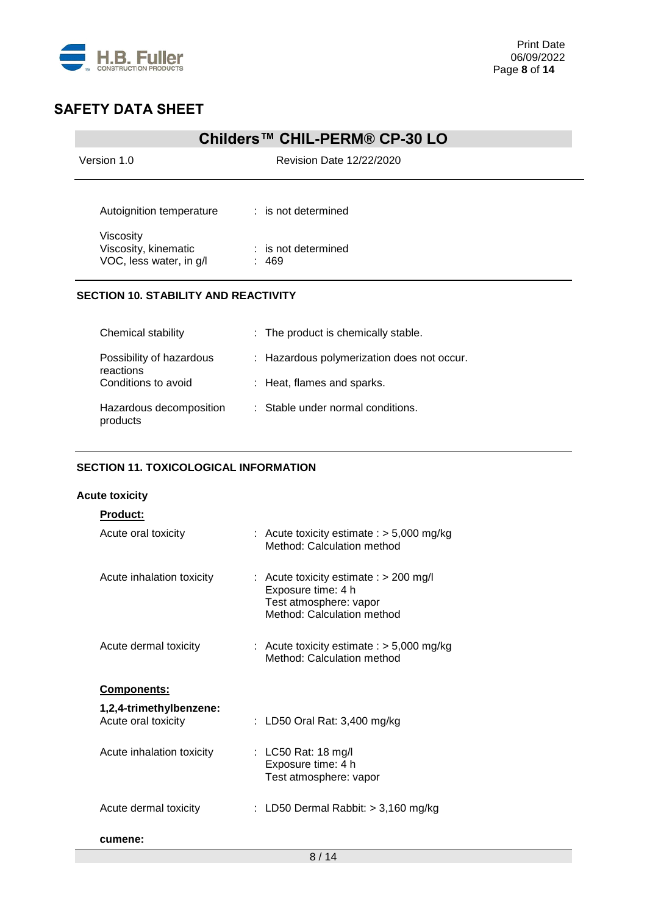

## **Childers™ CHIL-PERM® CP-30 LO**

Version 1.0 Revision Date 12/22/2020

| Autoignition temperature                                     | $:$ is not determined        |
|--------------------------------------------------------------|------------------------------|
| Viscosity<br>Viscosity, kinematic<br>VOC, less water, in g/l | $:$ is not determined<br>469 |

### **SECTION 10. STABILITY AND REACTIVITY**

| Chemical stability                    | : The product is chemically stable.        |
|---------------------------------------|--------------------------------------------|
| Possibility of hazardous<br>reactions | : Hazardous polymerization does not occur. |
| Conditions to avoid                   | : Heat, flames and sparks.                 |
| Hazardous decomposition<br>products   | : Stable under normal conditions.          |

### **SECTION 11. TOXICOLOGICAL INFORMATION**

#### **Acute toxicity**

| Product:                                       |                                                                                                                        |
|------------------------------------------------|------------------------------------------------------------------------------------------------------------------------|
| Acute oral toxicity                            | : Acute toxicity estimate : $>$ 5,000 mg/kg<br>Method: Calculation method                                              |
| Acute inhalation toxicity                      | : Acute toxicity estimate : $> 200$ mg/l<br>Exposure time: 4 h<br>Test atmosphere: vapor<br>Method: Calculation method |
| Acute dermal toxicity                          | : Acute toxicity estimate : $>$ 5,000 mg/kg<br>Method: Calculation method                                              |
| <b>Components:</b>                             |                                                                                                                        |
| 1,2,4-trimethylbenzene:<br>Acute oral toxicity | : LD50 Oral Rat: 3,400 mg/kg                                                                                           |
| Acute inhalation toxicity                      | : LC50 Rat: 18 mg/l<br>Exposure time: 4 h<br>Test atmosphere: vapor                                                    |
| Acute dermal toxicity                          | : LD50 Dermal Rabbit: $>$ 3,160 mg/kg                                                                                  |
| cumene:                                        |                                                                                                                        |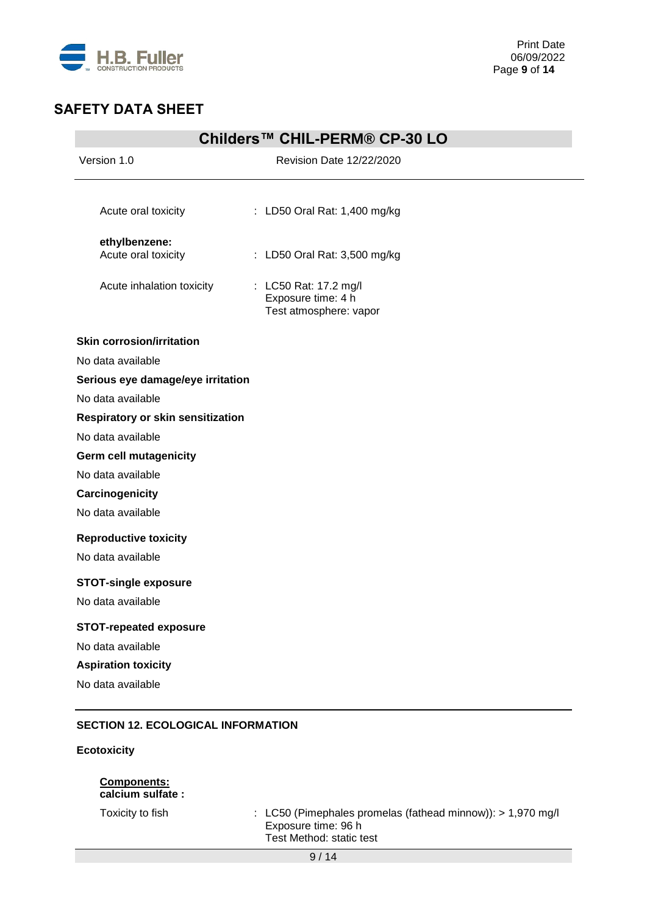

| Childers™ CHIL-PERM® CP-30 LO             |                                                                       |  |
|-------------------------------------------|-----------------------------------------------------------------------|--|
| Version 1.0                               | Revision Date 12/22/2020                                              |  |
|                                           |                                                                       |  |
| Acute oral toxicity                       | : LD50 Oral Rat: 1,400 mg/kg                                          |  |
| ethylbenzene:                             |                                                                       |  |
| Acute oral toxicity                       | : LD50 Oral Rat: 3,500 mg/kg                                          |  |
| Acute inhalation toxicity                 | : LC50 Rat: 17.2 mg/l<br>Exposure time: 4 h<br>Test atmosphere: vapor |  |
| <b>Skin corrosion/irritation</b>          |                                                                       |  |
| No data available                         |                                                                       |  |
| Serious eye damage/eye irritation         |                                                                       |  |
| No data available                         |                                                                       |  |
| <b>Respiratory or skin sensitization</b>  |                                                                       |  |
| No data available                         |                                                                       |  |
| Germ cell mutagenicity                    |                                                                       |  |
| No data available                         |                                                                       |  |
| Carcinogenicity                           |                                                                       |  |
| No data available                         |                                                                       |  |
| <b>Reproductive toxicity</b>              |                                                                       |  |
| No data available                         |                                                                       |  |
| <b>STOT-single exposure</b>               |                                                                       |  |
| No data available                         |                                                                       |  |
| <b>STOT-repeated exposure</b>             |                                                                       |  |
| No data available                         |                                                                       |  |
| <b>Aspiration toxicity</b>                |                                                                       |  |
| No data available                         |                                                                       |  |
|                                           |                                                                       |  |
| <b>SECTION 12. ECOLOGICAL INFORMATION</b> |                                                                       |  |

### **Ecotoxicity**

### **Components: calcium sulfate :**

Toxicity to fish : LC50 (Pimephales promelas (fathead minnow)): > 1,970 mg/l Exposure time: 96 h Test Method: static test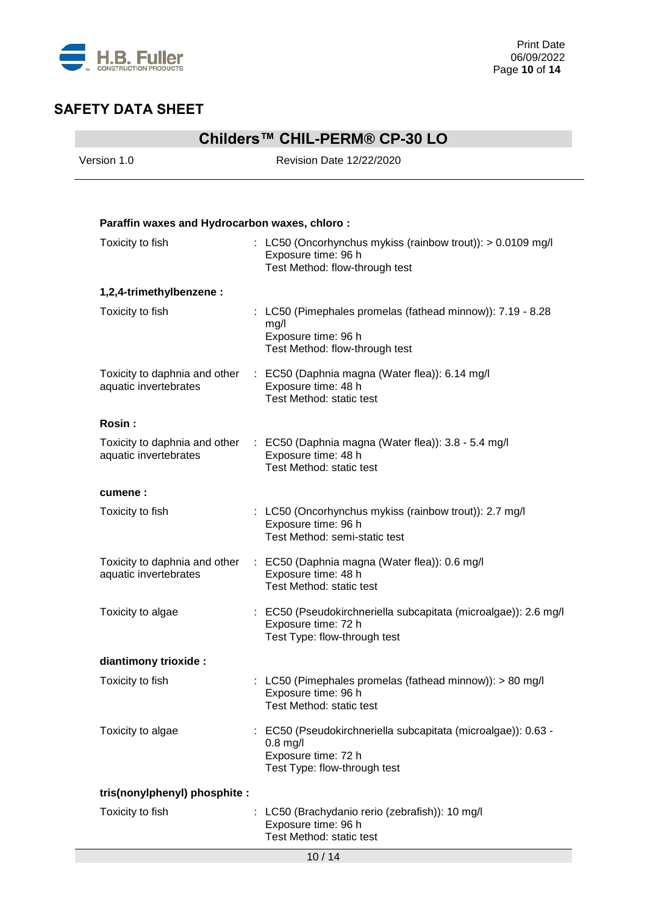

# **Childers™ CHIL-PERM® CP-30 LO**

Version 1.0 Revision Date 12/22/2020

| Paraffin waxes and Hydrocarbon waxes, chloro:          |                                                                                                                                      |
|--------------------------------------------------------|--------------------------------------------------------------------------------------------------------------------------------------|
| Toxicity to fish                                       | : LC50 (Oncorhynchus mykiss (rainbow trout)): > 0.0109 mg/l<br>Exposure time: 96 h<br>Test Method: flow-through test                 |
| 1,2,4-trimethylbenzene:                                |                                                                                                                                      |
| Toxicity to fish                                       | : LC50 (Pimephales promelas (fathead minnow)): 7.19 - 8.28<br>mg/l<br>Exposure time: 96 h<br>Test Method: flow-through test          |
| Toxicity to daphnia and other<br>aquatic invertebrates | : EC50 (Daphnia magna (Water flea)): 6.14 mg/l<br>Exposure time: 48 h<br>Test Method: static test                                    |
| Rosin:                                                 |                                                                                                                                      |
| aquatic invertebrates                                  | Toxicity to daphnia and other : EC50 (Daphnia magna (Water flea)): 3.8 - 5.4 mg/l<br>Exposure time: 48 h<br>Test Method: static test |
| cumene:                                                |                                                                                                                                      |
| Toxicity to fish                                       | : LC50 (Oncorhynchus mykiss (rainbow trout)): 2.7 mg/l<br>Exposure time: 96 h<br>Test Method: semi-static test                       |
| Toxicity to daphnia and other<br>aquatic invertebrates | : EC50 (Daphnia magna (Water flea)): 0.6 mg/l<br>Exposure time: 48 h<br>Test Method: static test                                     |
| Toxicity to algae                                      | : EC50 (Pseudokirchneriella subcapitata (microalgae)): 2.6 mg/l<br>Exposure time: 72 h<br>Test Type: flow-through test               |
| diantimony trioxide :                                  |                                                                                                                                      |
| Toxicity to fish                                       | : LC50 (Pimephales promelas (fathead minnow)): $> 80$ mg/l<br>Exposure time: 96 h<br>Test Method: static test                        |
| Toxicity to algae                                      | : EC50 (Pseudokirchneriella subcapitata (microalgae)): 0.63 -<br>$0.8$ mg/l<br>Exposure time: 72 h<br>Test Type: flow-through test   |
| tris(nonylphenyl) phosphite :                          |                                                                                                                                      |
| Toxicity to fish                                       | : LC50 (Brachydanio rerio (zebrafish)): 10 mg/l<br>Exposure time: 96 h<br>Test Method: static test                                   |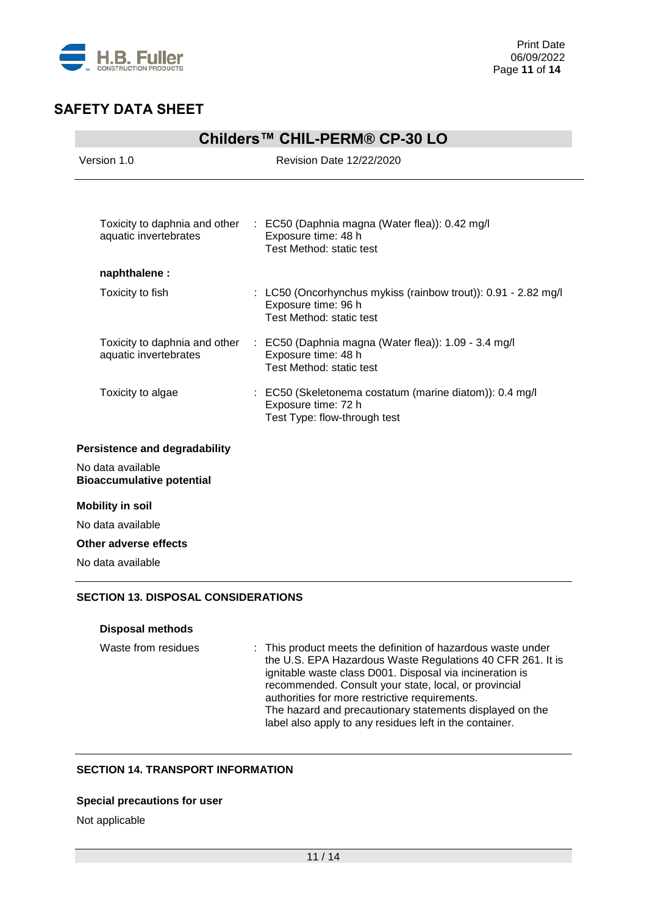

| Childers™ CHIL-PERM® CP-30 LO                          |                                                                                                                   |  |
|--------------------------------------------------------|-------------------------------------------------------------------------------------------------------------------|--|
| Version 1.0                                            | Revision Date 12/22/2020                                                                                          |  |
|                                                        |                                                                                                                   |  |
| Toxicity to daphnia and other<br>aquatic invertebrates | : EC50 (Daphnia magna (Water flea)): 0.42 mg/l<br>Exposure time: 48 h<br>Test Method: static test                 |  |
| naphthalene :                                          |                                                                                                                   |  |
| Toxicity to fish                                       | : LC50 (Oncorhynchus mykiss (rainbow trout)): 0.91 - 2.82 mg/l<br>Exposure time: 96 h<br>Test Method: static test |  |
| Toxicity to daphnia and other<br>aquatic invertebrates | : EC50 (Daphnia magna (Water flea)): 1.09 - 3.4 mg/l<br>Exposure time: 48 h<br>Test Method: static test           |  |
| Toxicity to algae                                      | : EC50 (Skeletonema costatum (marine diatom)): 0.4 mg/l<br>Exposure time: 72 h<br>Test Type: flow-through test    |  |
| Persistence and degradability                          |                                                                                                                   |  |
| No data available<br><b>Bioaccumulative potential</b>  |                                                                                                                   |  |
| <b>Mobility in soil</b>                                |                                                                                                                   |  |
| No data available                                      |                                                                                                                   |  |
| Other adverse effects                                  |                                                                                                                   |  |
| No data available                                      |                                                                                                                   |  |

### **SECTION 13. DISPOSAL CONSIDERATIONS**

### **Disposal methods**

Waste from residues : This product meets the definition of hazardous waste under the U.S. EPA Hazardous Waste Regulations 40 CFR 261. It is ignitable waste class D001. Disposal via incineration is recommended. Consult your state, local, or provincial authorities for more restrictive requirements. The hazard and precautionary statements displayed on the label also apply to any residues left in the container.

### **SECTION 14. TRANSPORT INFORMATION**

### **Special precautions for user**

Not applicable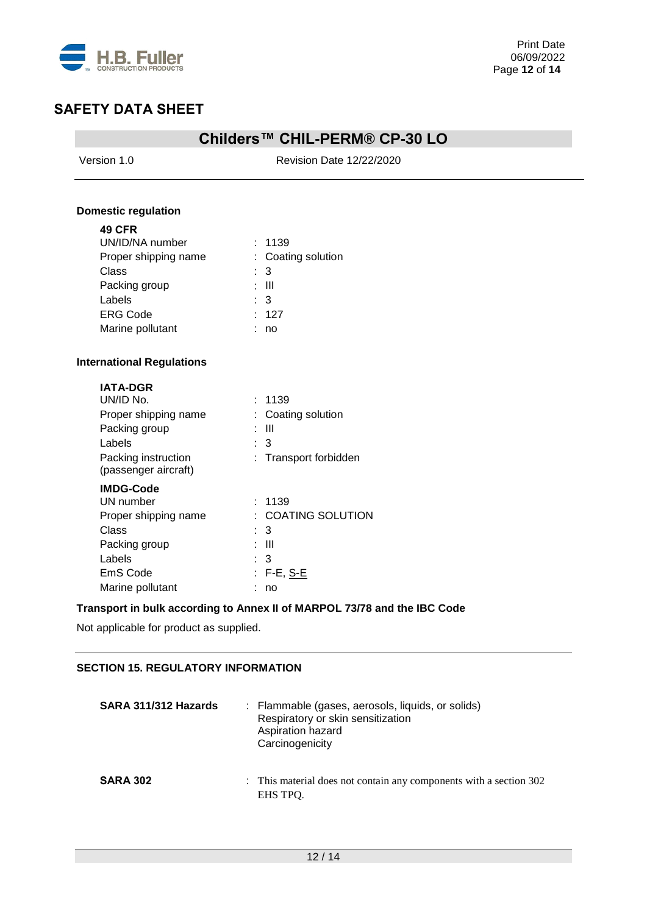

## **Childers™ CHIL-PERM® CP-30 LO**

Version 1.0 Revision Date 12/22/2020

#### **Domestic regulation**

| <b>49 CFR</b>                    |                    |
|----------------------------------|--------------------|
| UN/ID/NA number                  | : 1139             |
| Proper shipping name             | : Coating solution |
| Class                            | : 3                |
| Packing group                    | : III              |
| Labels                           | : 3                |
| <b>ERG Code</b>                  | : 127              |
| Marine pollutant                 | no                 |
| <b>International Regulations</b> |                    |
| <b>IATA-DGR</b>                  |                    |
| UN/ID No.                        | 1139               |

| UN/ID NO.                                   | -1139                   |
|---------------------------------------------|-------------------------|
| Proper shipping name                        | : Coating solution      |
| Packing group                               | Ш                       |
| Labels                                      | - 3                     |
| Packing instruction<br>(passenger aircraft) | : Transport forbidden   |
| <b>IMDG-Code</b>                            |                         |
| UN number                                   | : 1139                  |
| Proper shipping name                        | <b>COATING SOLUTION</b> |
| Class                                       | : 3                     |
| Packing group                               | -III                    |
| Labels                                      | : 3                     |
| EmS Code                                    | : F-E, <u>S-E</u>       |
| Marine pollutant                            | no                      |

### **Transport in bulk according to Annex II of MARPOL 73/78 and the IBC Code**

Not applicable for product as supplied.

### **SECTION 15. REGULATORY INFORMATION**

| SARA 311/312 Hazards | : Flammable (gases, aerosols, liquids, or solids)<br>Respiratory or skin sensitization<br>Aspiration hazard<br>Carcinogenicity |
|----------------------|--------------------------------------------------------------------------------------------------------------------------------|
| <b>SARA 302</b>      | : This material does not contain any components with a section 302<br>EHS TPO.                                                 |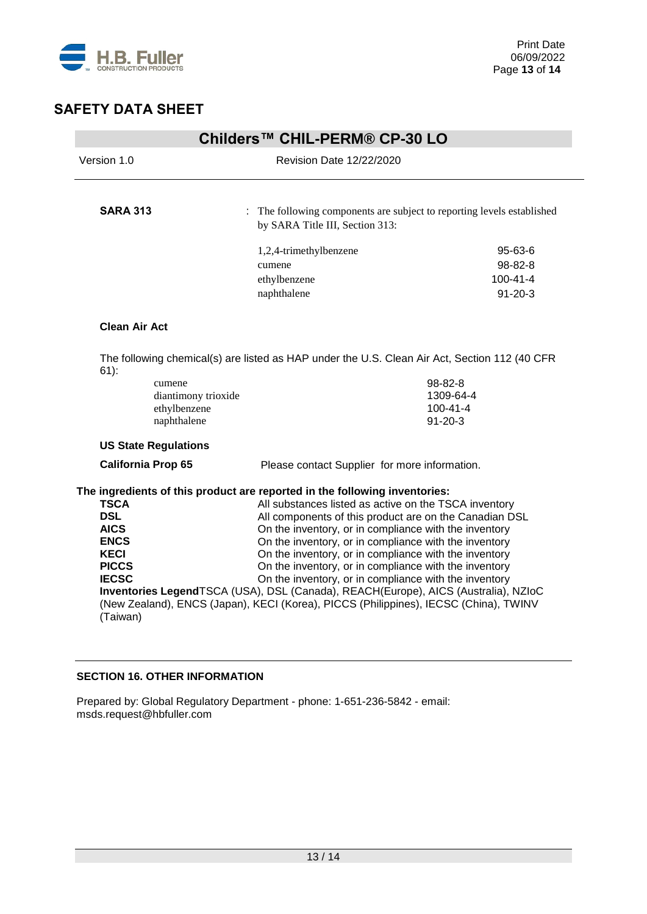

| Childers™ CHIL-PERM® CP-30 LO                                                                            |                             |                                                                                                                |                                 |  |
|----------------------------------------------------------------------------------------------------------|-----------------------------|----------------------------------------------------------------------------------------------------------------|---------------------------------|--|
| Version 1.0                                                                                              |                             | <b>Revision Date 12/22/2020</b>                                                                                |                                 |  |
|                                                                                                          |                             |                                                                                                                |                                 |  |
| <b>SARA 313</b>                                                                                          |                             | : The following components are subject to reporting levels established<br>by SARA Title III, Section 313:      |                                 |  |
|                                                                                                          |                             | 1,2,4-trimethylbenzene                                                                                         | $95 - 63 - 6$                   |  |
|                                                                                                          |                             | cumene                                                                                                         | 98-82-8                         |  |
|                                                                                                          |                             | ethylbenzene                                                                                                   | $100 - 41 - 4$                  |  |
|                                                                                                          |                             | naphthalene                                                                                                    | $91 - 20 - 3$                   |  |
| <b>Clean Air Act</b>                                                                                     |                             |                                                                                                                |                                 |  |
| The following chemical(s) are listed as HAP under the U.S. Clean Air Act, Section 112 (40 CFR<br>$61)$ : |                             |                                                                                                                |                                 |  |
| cumene                                                                                                   |                             |                                                                                                                | 98-82-8                         |  |
|                                                                                                          | diantimony trioxide         |                                                                                                                | 1309-64-4                       |  |
|                                                                                                          | ethylbenzene<br>naphthalene |                                                                                                                | $100 - 41 - 4$<br>$91 - 20 - 3$ |  |
| <b>US State Regulations</b>                                                                              |                             |                                                                                                                |                                 |  |
| <b>California Prop 65</b>                                                                                |                             | Please contact Supplier for more information.                                                                  |                                 |  |
| The ingredients of this product are reported in the following inventories:                               |                             |                                                                                                                |                                 |  |
| <b>TSCA</b>                                                                                              |                             | All substances listed as active on the TSCA inventory                                                          |                                 |  |
| <b>DSL</b>                                                                                               |                             | All components of this product are on the Canadian DSL                                                         |                                 |  |
| <b>AICS</b><br><b>ENCS</b>                                                                               |                             | On the inventory, or in compliance with the inventory<br>On the inventory, or in compliance with the inventory |                                 |  |
| <b>KECI</b>                                                                                              |                             | On the inventory, or in compliance with the inventory                                                          |                                 |  |
| <b>PICCS</b>                                                                                             |                             | On the inventory, or in compliance with the inventory                                                          |                                 |  |
| <b>IECSC</b>                                                                                             |                             | On the inventory, or in compliance with the inventory                                                          |                                 |  |
| Inventories LegendTSCA (USA), DSL (Canada), REACH(Europe), AICS (Australia), NZIoC                       |                             |                                                                                                                |                                 |  |
| (New Zealand), ENCS (Japan), KECI (Korea), PICCS (Philippines), IECSC (China), TWINV<br>(Taiwan)         |                             |                                                                                                                |                                 |  |
|                                                                                                          |                             |                                                                                                                |                                 |  |

### **SECTION 16. OTHER INFORMATION**

Prepared by: Global Regulatory Department - phone: 1-651-236-5842 - email: msds.request@hbfuller.com